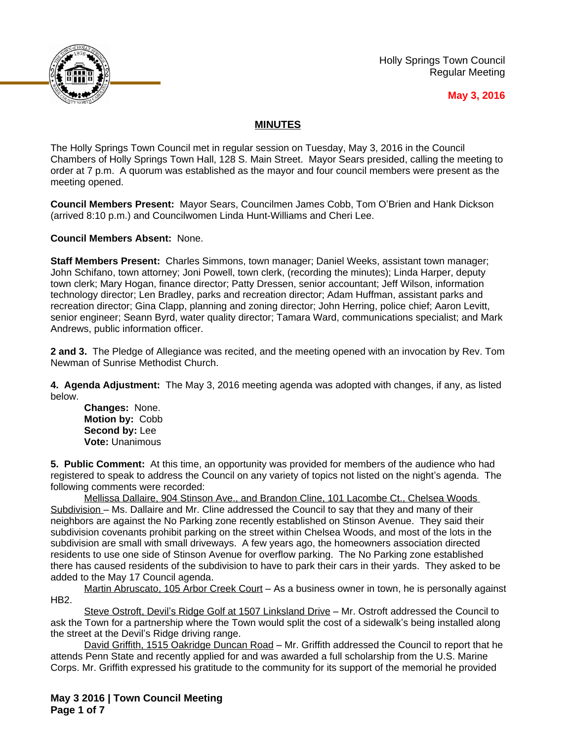

Holly Springs Town Council Regular Meeting

# **May 3, 2016**

# **MINUTES**

The Holly Springs Town Council met in regular session on Tuesday, May 3, 2016 in the Council Chambers of Holly Springs Town Hall, 128 S. Main Street. Mayor Sears presided, calling the meeting to order at 7 p.m. A quorum was established as the mayor and four council members were present as the meeting opened.

**Council Members Present:** Mayor Sears, Councilmen James Cobb, Tom O'Brien and Hank Dickson (arrived 8:10 p.m.) and Councilwomen Linda Hunt-Williams and Cheri Lee.

**Council Members Absent:** None.

**Staff Members Present:** Charles Simmons, town manager; Daniel Weeks, assistant town manager; John Schifano, town attorney; Joni Powell, town clerk, (recording the minutes); Linda Harper, deputy town clerk; Mary Hogan, finance director; Patty Dressen, senior accountant; Jeff Wilson, information technology director; Len Bradley, parks and recreation director; Adam Huffman, assistant parks and recreation director; Gina Clapp, planning and zoning director; John Herring, police chief; Aaron Levitt, senior engineer; Seann Byrd, water quality director; Tamara Ward, communications specialist; and Mark Andrews, public information officer.

**2 and 3.** The Pledge of Allegiance was recited, and the meeting opened with an invocation by Rev. Tom Newman of Sunrise Methodist Church.

**4. Agenda Adjustment:** The May 3, 2016 meeting agenda was adopted with changes, if any, as listed below.

**Changes:** None. **Motion by:** Cobb **Second by:** Lee **Vote:** Unanimous

**5. Public Comment:** At this time, an opportunity was provided for members of the audience who had registered to speak to address the Council on any variety of topics not listed on the night's agenda. The following comments were recorded:

Mellissa Dallaire, 904 Stinson Ave., and Brandon Cline, 101 Lacombe Ct., Chelsea Woods Subdivision – Ms. Dallaire and Mr. Cline addressed the Council to say that they and many of their neighbors are against the No Parking zone recently established on Stinson Avenue. They said their subdivision covenants prohibit parking on the street within Chelsea Woods, and most of the lots in the subdivision are small with small driveways. A few years ago, the homeowners association directed residents to use one side of Stinson Avenue for overflow parking. The No Parking zone established there has caused residents of the subdivision to have to park their cars in their yards. They asked to be added to the May 17 Council agenda.

Martin Abruscato, 105 Arbor Creek Court - As a business owner in town, he is personally against HB2.

Steve Ostroft, Devil's Ridge Golf at 1507 Linksland Drive – Mr. Ostroft addressed the Council to ask the Town for a partnership where the Town would split the cost of a sidewalk's being installed along the street at the Devil's Ridge driving range.

David Griffith, 1515 Oakridge Duncan Road – Mr. Griffith addressed the Council to report that he attends Penn State and recently applied for and was awarded a full scholarship from the U.S. Marine Corps. Mr. Griffith expressed his gratitude to the community for its support of the memorial he provided

**May 3 2016 | Town Council Meeting Page 1 of 7**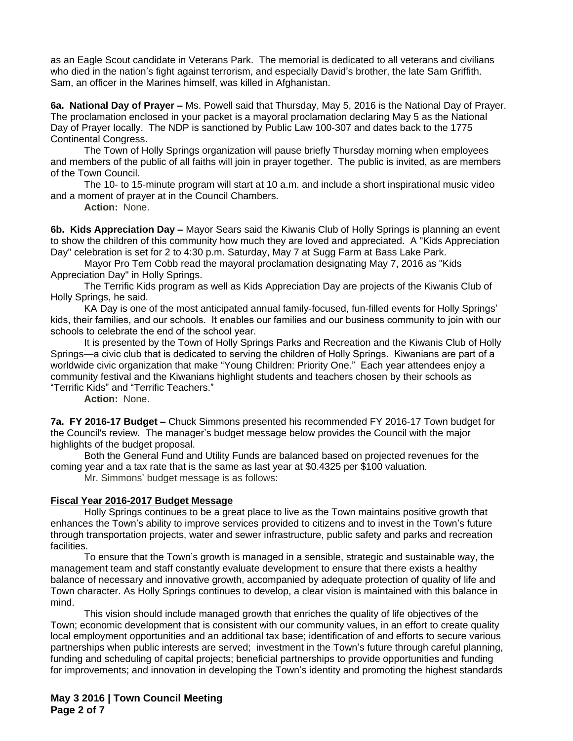as an Eagle Scout candidate in Veterans Park. The memorial is dedicated to all veterans and civilians who died in the nation's fight against terrorism, and especially David's brother, the late Sam Griffith. Sam, an officer in the Marines himself, was killed in Afghanistan.

**6a. National Day of Prayer –** Ms. Powell said that Thursday, May 5, 2016 is the National Day of Prayer. The proclamation enclosed in your packet is a mayoral proclamation declaring May 5 as the National Day of Prayer locally. The NDP is sanctioned by Public Law 100-307 and dates back to the 1775 Continental Congress.

The Town of Holly Springs organization will pause briefly Thursday morning when employees and members of the public of all faiths will join in prayer together. The public is invited, as are members of the Town Council.

The 10- to 15-minute program will start at 10 a.m. and include a short inspirational music video and a moment of prayer at in the Council Chambers.

**Action:** None.

**6b. Kids Appreciation Day –** Mayor Sears said the Kiwanis Club of Holly Springs is planning an event to show the children of this community how much they are loved and appreciated. A "Kids Appreciation Day" celebration is set for 2 to 4:30 p.m. Saturday, May 7 at Sugg Farm at Bass Lake Park.

Mayor Pro Tem Cobb read the mayoral proclamation designating May 7, 2016 as "Kids Appreciation Day" in Holly Springs.

The Terrific Kids program as well as Kids Appreciation Day are projects of the Kiwanis Club of Holly Springs, he said.

KA Day is one of the most anticipated annual family-focused, fun-filled events for Holly Springs' kids, their families, and our schools. It enables our families and our business community to join with our schools to celebrate the end of the school year.

It is presented by the Town of Holly Springs Parks and Recreation and the Kiwanis Club of Holly Springs—a civic club that is dedicated to serving the children of Holly Springs. Kiwanians are part of a worldwide civic organization that make "Young Children: Priority One." Each year attendees enjoy a community festival and the Kiwanians highlight students and teachers chosen by their schools as "Terrific Kids" and "Terrific Teachers."

**Action:** None.

**7a. FY 2016-17 Budget –** Chuck Simmons presented his recommended FY 2016-17 Town budget for the Council's review. The manager's budget message below provides the Council with the major highlights of the budget proposal.

Both the General Fund and Utility Funds are balanced based on projected revenues for the coming year and a tax rate that is the same as last year at \$0.4325 per \$100 valuation.

Mr. Simmons' budget message is as follows:

# **Fiscal Year 2016-2017 Budget Message**

Holly Springs continues to be a great place to live as the Town maintains positive growth that enhances the Town's ability to improve services provided to citizens and to invest in the Town's future through transportation projects, water and sewer infrastructure, public safety and parks and recreation facilities.

To ensure that the Town's growth is managed in a sensible, strategic and sustainable way, the management team and staff constantly evaluate development to ensure that there exists a healthy balance of necessary and innovative growth, accompanied by adequate protection of quality of life and Town character. As Holly Springs continues to develop, a clear vision is maintained with this balance in mind.

This vision should include managed growth that enriches the quality of life objectives of the Town; economic development that is consistent with our community values, in an effort to create quality local employment opportunities and an additional tax base; identification of and efforts to secure various partnerships when public interests are served; investment in the Town's future through careful planning, funding and scheduling of capital projects; beneficial partnerships to provide opportunities and funding for improvements; and innovation in developing the Town's identity and promoting the highest standards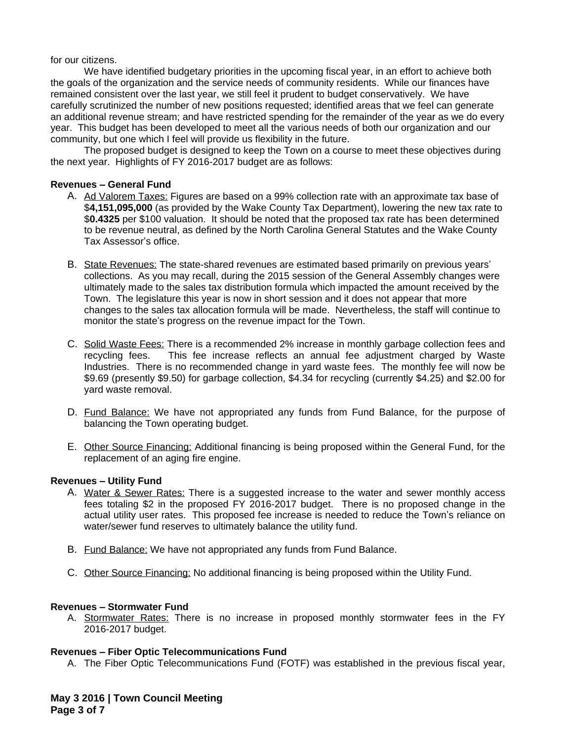for our citizens.

We have identified budgetary priorities in the upcoming fiscal year, in an effort to achieve both the goals of the organization and the service needs of community residents. While our finances have remained consistent over the last year, we still feel it prudent to budget conservatively. We have carefully scrutinized the number of new positions requested; identified areas that we feel can generate an additional revenue stream; and have restricted spending for the remainder of the year as we do every year. This budget has been developed to meet all the various needs of both our organization and our community, but one which I feel will provide us flexibility in the future.

The proposed budget is designed to keep the Town on a course to meet these objectives during the next year. Highlights of FY 2016-2017 budget are as follows:

# **Revenues – General Fund**

- A. Ad Valorem Taxes: Figures are based on a 99% collection rate with an approximate tax base of \$**4,151,095,000** (as provided by the Wake County Tax Department), lowering the new tax rate to \$**0.4325** per \$100 valuation. It should be noted that the proposed tax rate has been determined to be revenue neutral, as defined by the North Carolina General Statutes and the Wake County Tax Assessor's office.
- B. State Revenues: The state-shared revenues are estimated based primarily on previous years' collections. As you may recall, during the 2015 session of the General Assembly changes were ultimately made to the sales tax distribution formula which impacted the amount received by the Town. The legislature this year is now in short session and it does not appear that more changes to the sales tax allocation formula will be made. Nevertheless, the staff will continue to monitor the state's progress on the revenue impact for the Town.
- C. Solid Waste Fees: There is a recommended 2% increase in monthly garbage collection fees and recycling fees. This fee increase reflects an annual fee adjustment charged by Waste Industries. There is no recommended change in yard waste fees. The monthly fee will now be \$9.69 (presently \$9.50) for garbage collection, \$4.34 for recycling (currently \$4.25) and \$2.00 for yard waste removal.
- D. Fund Balance: We have not appropriated any funds from Fund Balance, for the purpose of balancing the Town operating budget.
- E. Other Source Financing: Additional financing is being proposed within the General Fund, for the replacement of an aging fire engine.

# **Revenues – Utility Fund**

- A. Water & Sewer Rates: There is a suggested increase to the water and sewer monthly access fees totaling \$2 in the proposed FY 2016-2017 budget. There is no proposed change in the actual utility user rates. This proposed fee increase is needed to reduce the Town's reliance on water/sewer fund reserves to ultimately balance the utility fund.
- B. Fund Balance: We have not appropriated any funds from Fund Balance.
- C. Other Source Financing: No additional financing is being proposed within the Utility Fund.

### **Revenues – Stormwater Fund**

A. Stormwater Rates: There is no increase in proposed monthly stormwater fees in the FY 2016-2017 budget.

# **Revenues – Fiber Optic Telecommunications Fund**

A. The Fiber Optic Telecommunications Fund (FOTF) was established in the previous fiscal year,

**May 3 2016 | Town Council Meeting Page 3 of 7**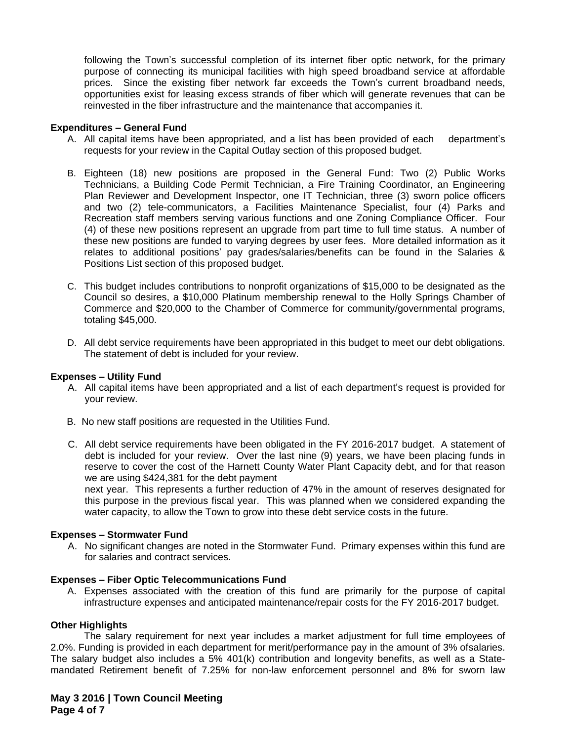following the Town's successful completion of its internet fiber optic network, for the primary purpose of connecting its municipal facilities with high speed broadband service at affordable prices. Since the existing fiber network far exceeds the Town's current broadband needs, opportunities exist for leasing excess strands of fiber which will generate revenues that can be reinvested in the fiber infrastructure and the maintenance that accompanies it.

### **Expenditures – General Fund**

- A. All capital items have been appropriated, and a list has been provided of each department's requests for your review in the Capital Outlay section of this proposed budget.
- B. Eighteen (18) new positions are proposed in the General Fund: Two (2) Public Works Technicians, a Building Code Permit Technician, a Fire Training Coordinator, an Engineering Plan Reviewer and Development Inspector, one IT Technician, three (3) sworn police officers and two (2) tele-communicators, a Facilities Maintenance Specialist, four (4) Parks and Recreation staff members serving various functions and one Zoning Compliance Officer. Four (4) of these new positions represent an upgrade from part time to full time status. A number of these new positions are funded to varying degrees by user fees. More detailed information as it relates to additional positions' pay grades/salaries/benefits can be found in the Salaries & Positions List section of this proposed budget.
- C. This budget includes contributions to nonprofit organizations of \$15,000 to be designated as the Council so desires, a \$10,000 Platinum membership renewal to the Holly Springs Chamber of Commerce and \$20,000 to the Chamber of Commerce for community/governmental programs, totaling \$45,000.
- D. All debt service requirements have been appropriated in this budget to meet our debt obligations. The statement of debt is included for your review.

# **Expenses – Utility Fund**

- A. All capital items have been appropriated and a list of each department's request is provided for your review.
- B. No new staff positions are requested in the Utilities Fund.
- C. All debt service requirements have been obligated in the FY 2016-2017 budget. A statement of debt is included for your review. Over the last nine (9) years, we have been placing funds in reserve to cover the cost of the Harnett County Water Plant Capacity debt, and for that reason we are using \$424,381 for the debt payment

next year. This represents a further reduction of 47% in the amount of reserves designated for this purpose in the previous fiscal year. This was planned when we considered expanding the water capacity, to allow the Town to grow into these debt service costs in the future.

### **Expenses – Stormwater Fund**

A. No significant changes are noted in the Stormwater Fund. Primary expenses within this fund are for salaries and contract services.

### **Expenses – Fiber Optic Telecommunications Fund**

A. Expenses associated with the creation of this fund are primarily for the purpose of capital infrastructure expenses and anticipated maintenance/repair costs for the FY 2016-2017 budget.

### **Other Highlights**

The salary requirement for next year includes a market adjustment for full time employees of 2.0%. Funding is provided in each department for merit/performance pay in the amount of 3% ofsalaries. The salary budget also includes a 5% 401(k) contribution and longevity benefits, as well as a Statemandated Retirement benefit of 7.25% for non-law enforcement personnel and 8% for sworn law

**May 3 2016 | Town Council Meeting Page 4 of 7**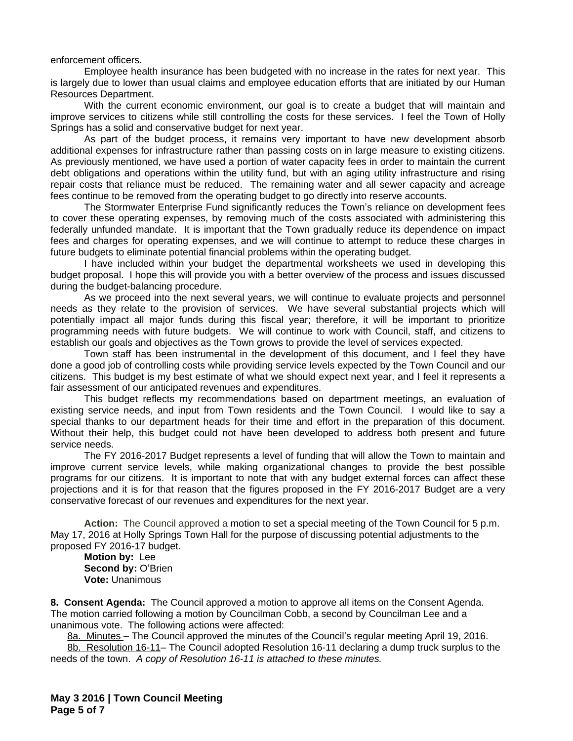enforcement officers.

Employee health insurance has been budgeted with no increase in the rates for next year. This is largely due to lower than usual claims and employee education efforts that are initiated by our Human Resources Department.

With the current economic environment, our goal is to create a budget that will maintain and improve services to citizens while still controlling the costs for these services. I feel the Town of Holly Springs has a solid and conservative budget for next year.

As part of the budget process, it remains very important to have new development absorb additional expenses for infrastructure rather than passing costs on in large measure to existing citizens. As previously mentioned, we have used a portion of water capacity fees in order to maintain the current debt obligations and operations within the utility fund, but with an aging utility infrastructure and rising repair costs that reliance must be reduced. The remaining water and all sewer capacity and acreage fees continue to be removed from the operating budget to go directly into reserve accounts.

The Stormwater Enterprise Fund significantly reduces the Town's reliance on development fees to cover these operating expenses, by removing much of the costs associated with administering this federally unfunded mandate. It is important that the Town gradually reduce its dependence on impact fees and charges for operating expenses, and we will continue to attempt to reduce these charges in future budgets to eliminate potential financial problems within the operating budget.

I have included within your budget the departmental worksheets we used in developing this budget proposal. I hope this will provide you with a better overview of the process and issues discussed during the budget-balancing procedure.

As we proceed into the next several years, we will continue to evaluate projects and personnel needs as they relate to the provision of services. We have several substantial projects which will potentially impact all major funds during this fiscal year; therefore, it will be important to prioritize programming needs with future budgets. We will continue to work with Council, staff, and citizens to establish our goals and objectives as the Town grows to provide the level of services expected.

Town staff has been instrumental in the development of this document, and I feel they have done a good job of controlling costs while providing service levels expected by the Town Council and our citizens. This budget is my best estimate of what we should expect next year, and I feel it represents a fair assessment of our anticipated revenues and expenditures.

This budget reflects my recommendations based on department meetings, an evaluation of existing service needs, and input from Town residents and the Town Council. I would like to say a special thanks to our department heads for their time and effort in the preparation of this document. Without their help, this budget could not have been developed to address both present and future service needs.

The FY 2016-2017 Budget represents a level of funding that will allow the Town to maintain and improve current service levels, while making organizational changes to provide the best possible programs for our citizens. It is important to note that with any budget external forces can affect these projections and it is for that reason that the figures proposed in the FY 2016-2017 Budget are a very conservative forecast of our revenues and expenditures for the next year.

**Action:** The Council approved a motion to set a special meeting of the Town Council for 5 p.m. May 17, 2016 at Holly Springs Town Hall for the purpose of discussing potential adjustments to the proposed FY 2016-17 budget.

**Motion by:** Lee **Second by: O'Brien Vote:** Unanimous

**8. Consent Agenda:** The Council approved a motion to approve all items on the Consent Agenda. The motion carried following a motion by Councilman Cobb, a second by Councilman Lee and a unanimous vote. The following actions were affected:

8a. Minutes - The Council approved the minutes of the Council's regular meeting April 19, 2016.

8b. Resolution 16-11– The Council adopted Resolution 16-11 declaring a dump truck surplus to the needs of the town. *A copy of Resolution 16-11 is attached to these minutes.*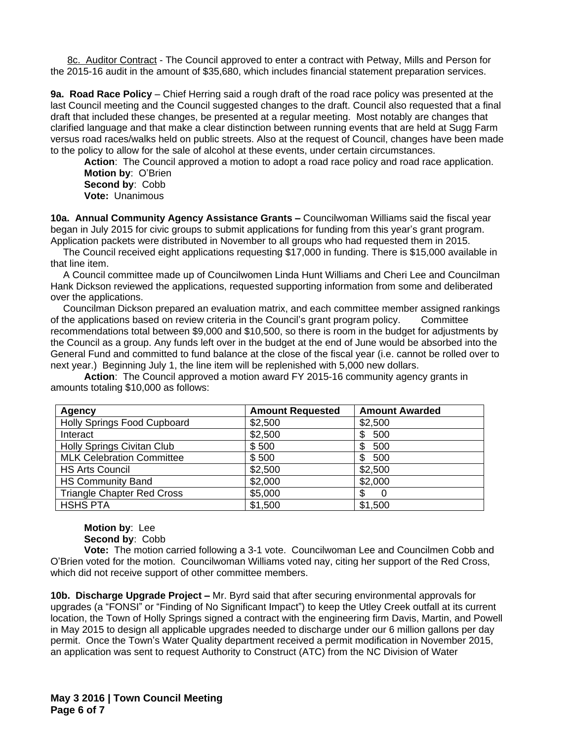8c. Auditor Contract - The Council approved to enter a contract with Petway, Mills and Person for the 2015-16 audit in the amount of \$35,680, which includes financial statement preparation services.

**9a. Road Race Policy** – Chief Herring said a rough draft of the road race policy was presented at the last Council meeting and the Council suggested changes to the draft. Council also requested that a final draft that included these changes, be presented at a regular meeting. Most notably are changes that clarified language and that make a clear distinction between running events that are held at Sugg Farm versus road races/walks held on public streets. Also at the request of Council, changes have been made to the policy to allow for the sale of alcohol at these events, under certain circumstances.

**Action**: The Council approved a motion to adopt a road race policy and road race application. **Motion by**: O'Brien **Second by**: Cobb **Vote:** Unanimous

**10a. Annual Community Agency Assistance Grants –** Councilwoman Williams said the fiscal year began in July 2015 for civic groups to submit applications for funding from this year's grant program. Application packets were distributed in November to all groups who had requested them in 2015.

The Council received eight applications requesting \$17,000 in funding. There is \$15,000 available in that line item.

A Council committee made up of Councilwomen Linda Hunt Williams and Cheri Lee and Councilman Hank Dickson reviewed the applications, requested supporting information from some and deliberated over the applications.

Councilman Dickson prepared an evaluation matrix, and each committee member assigned rankings of the applications based on review criteria in the Council's grant program policy. Committee recommendations total between \$9,000 and \$10,500, so there is room in the budget for adjustments by the Council as a group. Any funds left over in the budget at the end of June would be absorbed into the General Fund and committed to fund balance at the close of the fiscal year (i.e. cannot be rolled over to next year.) Beginning July 1, the line item will be replenished with 5,000 new dollars.

| Agency                             | <b>Amount Requested</b> | <b>Amount Awarded</b> |
|------------------------------------|-------------------------|-----------------------|
| <b>Holly Springs Food Cupboard</b> | \$2,500                 | \$2,500               |
| Interact                           | \$2,500                 | 500<br>\$             |
| Holly Springs Civitan Club         | \$500                   | 500<br>\$             |
| <b>MLK Celebration Committee</b>   | \$500                   | \$<br>500             |
| <b>HS Arts Council</b>             | \$2,500                 | \$2,500               |
| <b>HS Community Band</b>           | \$2,000                 | \$2,000               |
| <b>Triangle Chapter Red Cross</b>  | \$5,000                 | \$<br>0               |
| <b>HSHS PTA</b>                    | \$1,500                 | \$1,500               |

**Action**: The Council approved a motion award FY 2015-16 community agency grants in amounts totaling \$10,000 as follows:

### **Motion by**: Lee **Second by**: Cobb

**Vote:** The motion carried following a 3-1 vote. Councilwoman Lee and Councilmen Cobb and O'Brien voted for the motion. Councilwoman Williams voted nay, citing her support of the Red Cross, which did not receive support of other committee members.

**10b. Discharge Upgrade Project –** Mr. Byrd said that after securing environmental approvals for upgrades (a "FONSI" or "Finding of No Significant Impact") to keep the Utley Creek outfall at its current location, the Town of Holly Springs signed a contract with the engineering firm Davis, Martin, and Powell in May 2015 to design all applicable upgrades needed to discharge under our 6 million gallons per day permit. Once the Town's Water Quality department received a permit modification in November 2015, an application was sent to request Authority to Construct (ATC) from the NC Division of Water